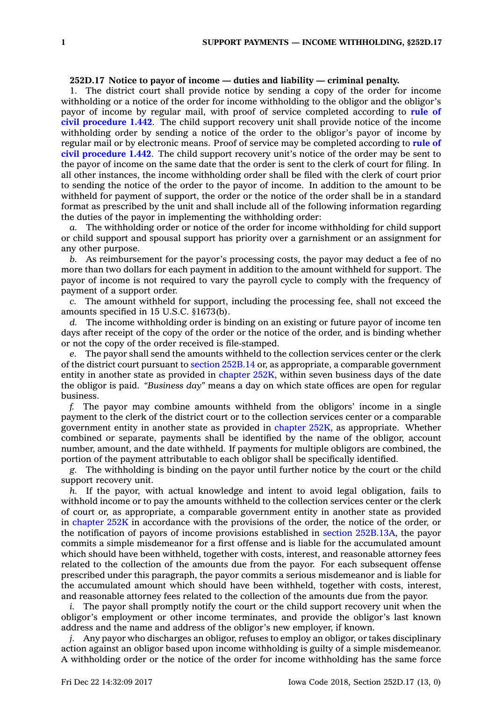## **252D.17 Notice to payor of income — duties and liability — criminal penalty.**

1. The district court shall provide notice by sending <sup>a</sup> copy of the order for income withholding or <sup>a</sup> notice of the order for income withholding to the obligor and the obligor's payor of income by regular mail, with proof of service completed according to **[rule](https://www.legis.iowa.gov/docs/ACO/CourtRulesChapter/1.pdf) of civil [procedure](https://www.legis.iowa.gov/docs/ACO/CourtRulesChapter/1.pdf) 1.442**. The child support recovery unit shall provide notice of the income withholding order by sending <sup>a</sup> notice of the order to the obligor's payor of income by regular mail or by electronic means. Proof of service may be completed according to **[rule](https://www.legis.iowa.gov/docs/ACO/CourtRulesChapter/1.pdf) of civil [procedure](https://www.legis.iowa.gov/docs/ACO/CourtRulesChapter/1.pdf) 1.442**. The child support recovery unit's notice of the order may be sent to the payor of income on the same date that the order is sent to the clerk of court for filing. In all other instances, the income withholding order shall be filed with the clerk of court prior to sending the notice of the order to the payor of income. In addition to the amount to be withheld for payment of support, the order or the notice of the order shall be in <sup>a</sup> standard format as prescribed by the unit and shall include all of the following information regarding the duties of the payor in implementing the withholding order:

*a.* The withholding order or notice of the order for income withholding for child support or child support and spousal support has priority over <sup>a</sup> garnishment or an assignment for any other purpose.

*b.* As reimbursement for the payor's processing costs, the payor may deduct <sup>a</sup> fee of no more than two dollars for each payment in addition to the amount withheld for support. The payor of income is not required to vary the payroll cycle to comply with the frequency of payment of <sup>a</sup> support order.

*c.* The amount withheld for support, including the processing fee, shall not exceed the amounts specified in 15 U.S.C. §1673(b).

*d.* The income withholding order is binding on an existing or future payor of income ten days after receipt of the copy of the order or the notice of the order, and is binding whether or not the copy of the order received is file-stamped.

*e.* The payor shall send the amounts withheld to the collection services center or the clerk of the district court pursuant to section [252B.14](https://www.legis.iowa.gov/docs/code/252B.14.pdf) or, as appropriate, <sup>a</sup> comparable government entity in another state as provided in [chapter](https://www.legis.iowa.gov/docs/code//252K.pdf) 252K, within seven business days of the date the obligor is paid. *"Business day"* means <sup>a</sup> day on which state offices are open for regular business.

*f.* The payor may combine amounts withheld from the obligors' income in <sup>a</sup> single payment to the clerk of the district court or to the collection services center or <sup>a</sup> comparable government entity in another state as provided in [chapter](https://www.legis.iowa.gov/docs/code//252K.pdf) 252K, as appropriate. Whether combined or separate, payments shall be identified by the name of the obligor, account number, amount, and the date withheld. If payments for multiple obligors are combined, the portion of the payment attributable to each obligor shall be specifically identified.

*g.* The withholding is binding on the payor until further notice by the court or the child support recovery unit.

*h.* If the payor, with actual knowledge and intent to avoid legal obligation, fails to withhold income or to pay the amounts withheld to the collection services center or the clerk of court or, as appropriate, <sup>a</sup> comparable government entity in another state as provided in [chapter](https://www.legis.iowa.gov/docs/code//252K.pdf) 252K in accordance with the provisions of the order, the notice of the order, or the notification of payors of income provisions established in section [252B.13A](https://www.legis.iowa.gov/docs/code/252B.13A.pdf), the payor commits <sup>a</sup> simple misdemeanor for <sup>a</sup> first offense and is liable for the accumulated amount which should have been withheld, together with costs, interest, and reasonable attorney fees related to the collection of the amounts due from the payor. For each subsequent offense prescribed under this paragraph, the payor commits <sup>a</sup> serious misdemeanor and is liable for the accumulated amount which should have been withheld, together with costs, interest, and reasonable attorney fees related to the collection of the amounts due from the payor.

*i.* The payor shall promptly notify the court or the child support recovery unit when the obligor's employment or other income terminates, and provide the obligor's last known address and the name and address of the obligor's new employer, if known.

*j.* Any payor who discharges an obligor, refuses to employ an obligor, or takes disciplinary action against an obligor based upon income withholding is guilty of <sup>a</sup> simple misdemeanor. A withholding order or the notice of the order for income withholding has the same force